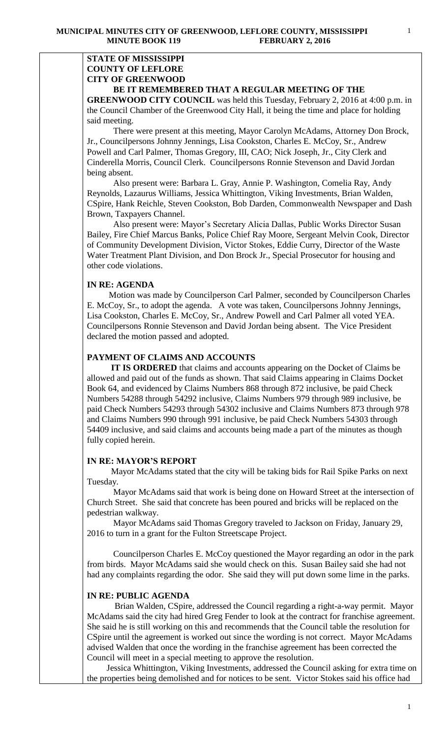### **STATE OF MISSISSIPPI COUNTY OF LEFLORE CITY OF GREENWOOD BE IT REMEMBERED THAT A REGULAR MEETING OF THE**

**GREENWOOD CITY COUNCIL** was held this Tuesday, February 2, 2016 at 4:00 p.m. in

the Council Chamber of the Greenwood City Hall, it being the time and place for holding said meeting.

There were present at this meeting, Mayor Carolyn McAdams, Attorney Don Brock, Jr., Councilpersons Johnny Jennings, Lisa Cookston, Charles E. McCoy, Sr., Andrew Powell and Carl Palmer, Thomas Gregory, III, CAO; Nick Joseph, Jr., City Clerk and Cinderella Morris, Council Clerk. Councilpersons Ronnie Stevenson and David Jordan being absent.

 Also present were: Barbara L. Gray, Annie P. Washington, Comelia Ray, Andy Reynolds, Lazaurus Williams, Jessica Whittington, Viking Investments, Brian Walden, CSpire, Hank Reichle, Steven Cookston, Bob Darden, Commonwealth Newspaper and Dash Brown, Taxpayers Channel.

 Also present were: Mayor's Secretary Alicia Dallas, Public Works Director Susan Bailey, Fire Chief Marcus Banks, Police Chief Ray Moore, Sergeant Melvin Cook, Director of Community Development Division, Victor Stokes, Eddie Curry, Director of the Waste Water Treatment Plant Division, and Don Brock Jr., Special Prosecutor for housing and other code violations.

### **IN RE: AGENDA**

 Motion was made by Councilperson Carl Palmer, seconded by Councilperson Charles E. McCoy, Sr., to adopt the agenda. A vote was taken, Councilpersons Johnny Jennings, Lisa Cookston, Charles E. McCoy, Sr., Andrew Powell and Carl Palmer all voted YEA. Councilpersons Ronnie Stevenson and David Jordan being absent. The Vice President declared the motion passed and adopted.

### **PAYMENT OF CLAIMS AND ACCOUNTS**

 **IT IS ORDERED** that claims and accounts appearing on the Docket of Claims be allowed and paid out of the funds as shown. That said Claims appearing in Claims Docket Book 64, and evidenced by Claims Numbers 868 through 872 inclusive, be paid Check Numbers 54288 through 54292 inclusive, Claims Numbers 979 through 989 inclusive, be paid Check Numbers 54293 through 54302 inclusive and Claims Numbers 873 through 978 and Claims Numbers 990 through 991 inclusive, be paid Check Numbers 54303 through 54409 inclusive, and said claims and accounts being made a part of the minutes as though fully copied herein.

### **IN RE: MAYOR'S REPORT**

 Mayor McAdams stated that the city will be taking bids for Rail Spike Parks on next Tuesday.

 Mayor McAdams said that work is being done on Howard Street at the intersection of Church Street. She said that concrete has been poured and bricks will be replaced on the pedestrian walkway.

 Mayor McAdams said Thomas Gregory traveled to Jackson on Friday, January 29, 2016 to turn in a grant for the Fulton Streetscape Project.

 Councilperson Charles E. McCoy questioned the Mayor regarding an odor in the park from birds. Mayor McAdams said she would check on this. Susan Bailey said she had not had any complaints regarding the odor. She said they will put down some lime in the parks.

## **IN RE: PUBLIC AGENDA**

 Brian Walden, CSpire, addressed the Council regarding a right-a-way permit. Mayor McAdams said the city had hired Greg Fender to look at the contract for franchise agreement. She said he is still working on this and recommends that the Council table the resolution for CSpire until the agreement is worked out since the wording is not correct. Mayor McAdams advised Walden that once the wording in the franchise agreement has been corrected the Council will meet in a special meeting to approve the resolution.

 Jessica Whittington, Viking Investments, addressed the Council asking for extra time on the properties being demolished and for notices to be sent. Victor Stokes said his office had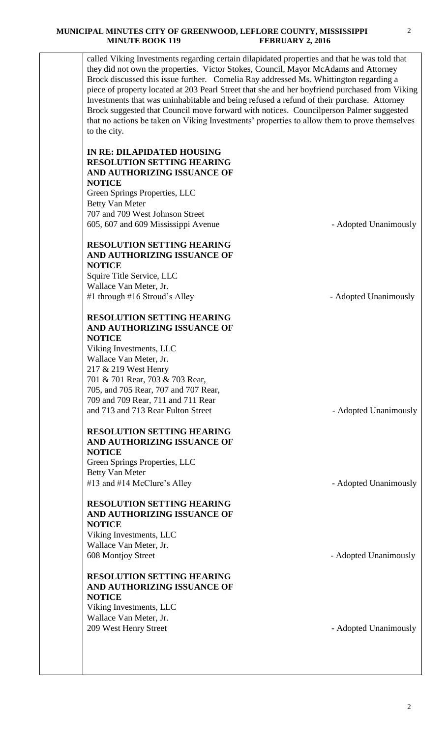called Viking Investments regarding certain dilapidated properties and that he was told that they did not own the properties. Victor Stokes, Council, Mayor McAdams and Attorney Brock discussed this issue further. Comelia Ray addressed Ms. Whittington regarding a piece of property located at 203 Pearl Street that she and her boyfriend purchased from Viking Investments that was uninhabitable and being refused a refund of their purchase. Attorney Brock suggested that Council move forward with notices. Councilperson Palmer suggested that no actions be taken on Viking Investments' properties to allow them to prove themselves to the city.

## **IN RE: DILAPIDATED HOUSING RESOLUTION SETTING HEARING AND AUTHORIZING ISSUANCE OF NOTICE**

Green Springs Properties, LLC Betty Van Meter 707 and 709 West Johnson Street 605, 607 and 609 Mississippi Avenue - Adopted Unanimously

# **RESOLUTION SETTING HEARING AND AUTHORIZING ISSUANCE OF NOTICE**

Squire Title Service, LLC Wallace Van Meter, Jr. #1 through #16 Stroud's Alley - Adopted Unanimously

## **RESOLUTION SETTING HEARING AND AUTHORIZING ISSUANCE OF NOTICE**

Viking Investments, LLC Wallace Van Meter, Jr. 217 & 219 West Henry 701 & 701 Rear, 703 & 703 Rear, 705, and 705 Rear, 707 and 707 Rear, 709 and 709 Rear, 711 and 711 Rear and 713 and 713 Rear Fulton Street - Adopted Unanimously

# **RESOLUTION SETTING HEARING AND AUTHORIZING ISSUANCE OF NOTICE**

Green Springs Properties, LLC Betty Van Meter #13 and #14 McClure's Alley - Adopted Unanimously

## **RESOLUTION SETTING HEARING AND AUTHORIZING ISSUANCE OF NOTICE**

Viking Investments, LLC Wallace Van Meter, Jr. 608 Montjoy Street - Adopted Unanimously

# **RESOLUTION SETTING HEARING AND AUTHORIZING ISSUANCE OF NOTICE**

Viking Investments, LLC Wallace Van Meter, Jr. 209 West Henry Street **- Adopted Unanimously**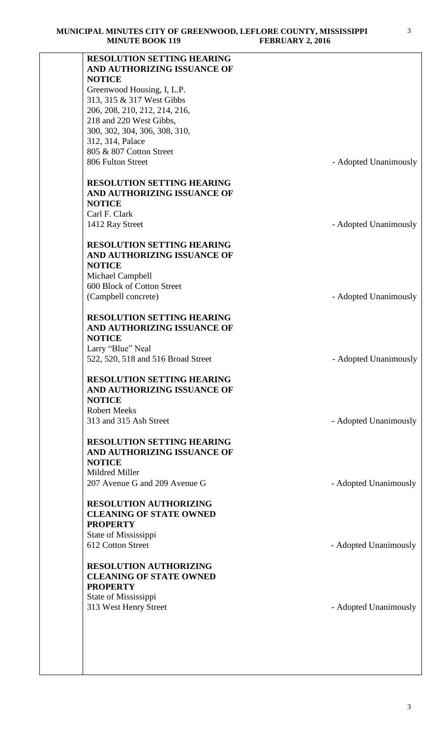| <b>MINUTE BOOK 119</b>                                           | <b>FEBRUARY 2, 2016</b> |
|------------------------------------------------------------------|-------------------------|
| <b>RESOLUTION SETTING HEARING</b><br>AND AUTHORIZING ISSUANCE OF |                         |
| <b>NOTICE</b>                                                    |                         |
| Greenwood Housing, I, L.P.                                       |                         |
| 313, 315 & 317 West Gibbs                                        |                         |
| 206, 208, 210, 212, 214, 216,                                    |                         |
| 218 and 220 West Gibbs,<br>300, 302, 304, 306, 308, 310,         |                         |
| 312, 314, Palace                                                 |                         |
| 805 & 807 Cotton Street                                          |                         |
| 806 Fulton Street                                                | - Adopted Unanimously   |
|                                                                  |                         |
| <b>RESOLUTION SETTING HEARING</b>                                |                         |
| AND AUTHORIZING ISSUANCE OF                                      |                         |
| <b>NOTICE</b>                                                    |                         |
| Carl F. Clark                                                    |                         |
| 1412 Ray Street                                                  | - Adopted Unanimously   |
| <b>RESOLUTION SETTING HEARING</b>                                |                         |
| AND AUTHORIZING ISSUANCE OF                                      |                         |
| <b>NOTICE</b>                                                    |                         |
| Michael Campbell                                                 |                         |
| 600 Block of Cotton Street                                       |                         |
| (Campbell concrete)                                              | - Adopted Unanimously   |
|                                                                  |                         |
| <b>RESOLUTION SETTING HEARING</b><br>AND AUTHORIZING ISSUANCE OF |                         |
| <b>NOTICE</b>                                                    |                         |
| Larry "Blue" Neal                                                |                         |
| 522, 520, 518 and 516 Broad Street                               | - Adopted Unanimously   |
|                                                                  |                         |
| <b>RESOLUTION SETTING HEARING</b><br>AND AUTHORIZING ISSUANCE OF |                         |
| <b>NOTICE</b>                                                    |                         |
| <b>Robert Meeks</b>                                              |                         |
| 313 and 315 Ash Street                                           | - Adopted Unanimously   |
|                                                                  |                         |
| <b>RESOLUTION SETTING HEARING</b>                                |                         |
| AND AUTHORIZING ISSUANCE OF<br><b>NOTICE</b>                     |                         |
| Mildred Miller                                                   |                         |
| 207 Avenue G and 209 Avenue G                                    | - Adopted Unanimously   |
|                                                                  |                         |
| <b>RESOLUTION AUTHORIZING</b>                                    |                         |
| <b>CLEANING OF STATE OWNED</b><br><b>PROPERTY</b>                |                         |
| State of Mississippi                                             |                         |
| 612 Cotton Street                                                | - Adopted Unanimously   |
|                                                                  |                         |
| <b>RESOLUTION AUTHORIZING</b>                                    |                         |
| <b>CLEANING OF STATE OWNED</b>                                   |                         |
| <b>PROPERTY</b>                                                  |                         |
| State of Mississippi                                             |                         |
| 313 West Henry Street                                            | - Adopted Unanimously   |
|                                                                  |                         |
|                                                                  |                         |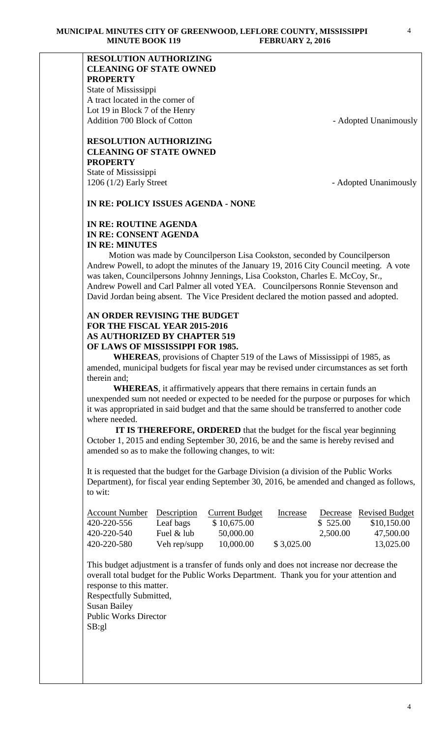# **RESOLUTION AUTHORIZING CLEANING OF STATE OWNED PROPERTY**

State of Mississippi A tract located in the corner of Lot 19 in Block 7 of the Henry Addition 700 Block of Cotton - Adopted Unanimously

### **RESOLUTION AUTHORIZING CLEANING OF STATE OWNED PROPERTY** State of Mississippi

1206 (1/2) Early Street - Adopted Unanimously

# **IN RE: POLICY ISSUES AGENDA - NONE**

# **IN RE: ROUTINE AGENDA IN RE: CONSENT AGENDA IN RE: MINUTES**

 Motion was made by Councilperson Lisa Cookston, seconded by Councilperson Andrew Powell, to adopt the minutes of the January 19, 2016 City Council meeting. A vote was taken, Councilpersons Johnny Jennings, Lisa Cookston, Charles E. McCoy, Sr., Andrew Powell and Carl Palmer all voted YEA. Councilpersons Ronnie Stevenson and David Jordan being absent. The Vice President declared the motion passed and adopted.

## **AN ORDER REVISING THE BUDGET FOR THE FISCAL YEAR 2015-2016 AS AUTHORIZED BY CHAPTER 519 OF LAWS OF MISSISSIPPI FOR 1985.**

**WHEREAS**, provisions of Chapter 519 of the Laws of Mississippi of 1985, as amended, municipal budgets for fiscal year may be revised under circumstances as set forth therein and;

**WHEREAS**, it affirmatively appears that there remains in certain funds an unexpended sum not needed or expected to be needed for the purpose or purposes for which it was appropriated in said budget and that the same should be transferred to another code where needed.

 **IT IS THEREFORE, ORDERED** that the budget for the fiscal year beginning October 1, 2015 and ending September 30, 2016, be and the same is hereby revised and amended so as to make the following changes, to wit:

It is requested that the budget for the Garbage Division (a division of the Public Works Department), for fiscal year ending September 30, 2016, be amended and changed as follows, to wit:

| <b>Account Number</b> | Description  | <b>Current Budget</b> | Increase   |          | Decrease Revised Budget |
|-----------------------|--------------|-----------------------|------------|----------|-------------------------|
| 420-220-556           | Leaf bags    | \$10,675.00           |            | \$525.00 | \$10,150.00             |
| 420-220-540           | Fuel & lub   | 50,000.00             |            | 2,500.00 | 47,500.00               |
| 420-220-580           | Veh rep/supp | 10,000.00             | \$3,025.00 |          | 13,025.00               |

This budget adjustment is a transfer of funds only and does not increase nor decrease the overall total budget for the Public Works Department. Thank you for your attention and response to this matter. Respectfully Submitted,

Susan Bailey Public Works Director SB:gl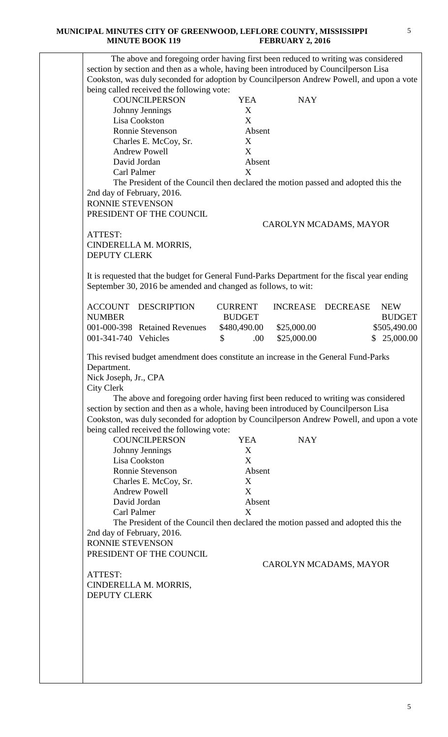| being called received the following vote:                                                                                                                                                  |                                                                                                                                                                                                                                                       |
|--------------------------------------------------------------------------------------------------------------------------------------------------------------------------------------------|-------------------------------------------------------------------------------------------------------------------------------------------------------------------------------------------------------------------------------------------------------|
| <b>COUNCILPERSON</b>                                                                                                                                                                       | <b>YEA</b><br><b>NAY</b>                                                                                                                                                                                                                              |
| Johnny Jennings                                                                                                                                                                            | X                                                                                                                                                                                                                                                     |
| Lisa Cookston                                                                                                                                                                              | X                                                                                                                                                                                                                                                     |
| Ronnie Stevenson                                                                                                                                                                           | Absent                                                                                                                                                                                                                                                |
| Charles E. McCoy, Sr.<br><b>Andrew Powell</b>                                                                                                                                              | X<br>X                                                                                                                                                                                                                                                |
| David Jordan                                                                                                                                                                               | Absent                                                                                                                                                                                                                                                |
| Carl Palmer                                                                                                                                                                                | X                                                                                                                                                                                                                                                     |
|                                                                                                                                                                                            | The President of the Council then declared the motion passed and adopted this the                                                                                                                                                                     |
| 2nd day of February, 2016.                                                                                                                                                                 |                                                                                                                                                                                                                                                       |
| RONNIE STEVENSON                                                                                                                                                                           |                                                                                                                                                                                                                                                       |
| PRESIDENT OF THE COUNCIL                                                                                                                                                                   |                                                                                                                                                                                                                                                       |
|                                                                                                                                                                                            | CAROLYN MCADAMS, MAYOR                                                                                                                                                                                                                                |
| ATTEST:                                                                                                                                                                                    |                                                                                                                                                                                                                                                       |
| CINDERELLA M. MORRIS,                                                                                                                                                                      |                                                                                                                                                                                                                                                       |
| <b>DEPUTY CLERK</b>                                                                                                                                                                        |                                                                                                                                                                                                                                                       |
|                                                                                                                                                                                            |                                                                                                                                                                                                                                                       |
| September 30, 2016 be amended and changed as follows, to wit:                                                                                                                              | It is requested that the budget for General Fund-Parks Department for the fiscal year ending                                                                                                                                                          |
| <b>ACCOUNT DESCRIPTION</b>                                                                                                                                                                 | INCREASE DECREASE<br><b>NEW</b><br><b>CURRENT</b>                                                                                                                                                                                                     |
| <b>NUMBER</b>                                                                                                                                                                              | <b>BUDGET</b><br><b>BUDGET</b>                                                                                                                                                                                                                        |
| 001-000-398 Retained Revenues                                                                                                                                                              | \$480,490.00<br>\$25,000.00<br>\$505,490.00                                                                                                                                                                                                           |
| 001-341-740 Vehicles                                                                                                                                                                       | \$<br>\$25,000.00<br>\$25,000.00<br>.00.                                                                                                                                                                                                              |
| being called received the following vote:<br><b>COUNCILPERSON</b><br>Johnny Jennings<br>Lisa Cookston<br>Ronnie Stevenson<br>Charles E. McCoy, Sr.<br><b>Andrew Powell</b><br>David Jordan | section by section and then as a whole, having been introduced by Council person Lisa<br>Cookston, was duly seconded for adoption by Councilperson Andrew Powell, and upon a vote<br><b>NAY</b><br><b>YEA</b><br>X<br>X<br>Absent<br>X<br>X<br>Absent |
| Carl Palmer                                                                                                                                                                                | X                                                                                                                                                                                                                                                     |
|                                                                                                                                                                                            | The President of the Council then declared the motion passed and adopted this the                                                                                                                                                                     |
| 2nd day of February, 2016.                                                                                                                                                                 |                                                                                                                                                                                                                                                       |
| RONNIE STEVENSON                                                                                                                                                                           |                                                                                                                                                                                                                                                       |
| PRESIDENT OF THE COUNCIL                                                                                                                                                                   |                                                                                                                                                                                                                                                       |
|                                                                                                                                                                                            | CAROLYN MCADAMS, MAYOR                                                                                                                                                                                                                                |
|                                                                                                                                                                                            |                                                                                                                                                                                                                                                       |
| ATTEST:                                                                                                                                                                                    |                                                                                                                                                                                                                                                       |
| CINDERELLA M. MORRIS,                                                                                                                                                                      |                                                                                                                                                                                                                                                       |
| <b>DEPUTY CLERK</b>                                                                                                                                                                        |                                                                                                                                                                                                                                                       |
|                                                                                                                                                                                            |                                                                                                                                                                                                                                                       |
|                                                                                                                                                                                            |                                                                                                                                                                                                                                                       |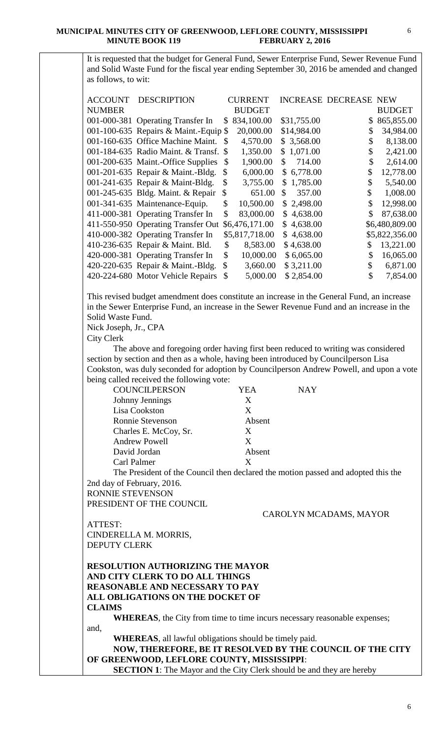It is requested that the budget for General Fund, Sewer Enterprise Fund, Sewer Revenue Fund and Solid Waste Fund for the fiscal year ending September 30, 2016 be amended and changed as follows, to wit:

| <b>ACCOUNT</b> | <b>DESCRIPTION</b>                    |               | <b>CURRENT</b> |                | <b>INCREASE DECREASE NEW</b> |    |                |
|----------------|---------------------------------------|---------------|----------------|----------------|------------------------------|----|----------------|
| <b>NUMBER</b>  |                                       |               | <b>BUDGET</b>  |                |                              |    | <b>BUDGET</b>  |
|                | 001-000-381 Operating Transfer In     | \$            | 834,100.00     | \$31,755.00    |                              | \$ | 865,855.00     |
|                | 001-100-635 Repairs & Maint.-Equip \$ |               | 20,000.00      | \$14,984.00    |                              | \$ | 34,984.00      |
|                | 001-160-635 Office Machine Maint.     | -S            | 4,570.00       | \$3,568.00     |                              | S  | 8,138.00       |
|                | 001-184-635 Radio Maint. & Transf. \$ |               | 1,350.00       | \$1,071.00     |                              | \$ | 2,421.00       |
|                | 001-200-635 Maint.-Office Supplies    | \$            | 1,900.00       | \$<br>714.00   |                              | \$ | 2,614.00       |
|                | 001-201-635 Repair & Maint.-Bldg.     | \$            | 6,000.00       | \$6,778.00     |                              | \$ | 12,778.00      |
|                | 001-241-635 Repair & Maint-Bldg.      | \$            | 3,755.00       | \$1,785.00     |                              | \$ | 5,540.00       |
|                | 001-245-635 Bldg. Maint. & Repair     | \$            | 651.00         | \$<br>357.00   | \$                           |    | 1,008.00       |
|                | 001-341-635 Maintenance-Equip.        | \$            | 10,500.00      | \$2,498.00     |                              | \$ | 12,998.00      |
|                | 411-000-381 Operating Transfer In     | \$            | 83,000.00      | \$4,638.00     |                              | \$ | 87,638.00      |
|                | 411-550-950 Operating Transfer Out    |               | \$6,476,171.00 | \$<br>4,638.00 |                              |    | \$6,480,809.00 |
|                | 410-000-382 Operating Transfer In     |               | \$5,817,718.00 | \$4,638.00     |                              |    | \$5,822,356.00 |
|                | 410-236-635 Repair & Maint. Bld.      | \$            | 8,583.00       | \$4,638.00     | \$                           |    | 13,221.00      |
|                | 420-000-381 Operating Transfer In     | \$            | 10,000.00      | \$6,065.00     |                              | \$ | 16,065.00      |
|                | 420-220-635 Repair & Maint.-Bldg.     | $\mathcal{S}$ | 3,660.00       | \$3,211.00     |                              |    | 6,871.00       |
|                | 420-224-680 Motor Vehicle Repairs     | \$            | 5,000.00       | \$2,854.00     |                              | \$ | 7,854.00       |

This revised budget amendment does constitute an increase in the General Fund, an increase in the Sewer Enterprise Fund, an increase in the Sewer Revenue Fund and an increase in the Solid Waste Fund.

Nick Joseph, Jr., CPA

City Clerk

 The above and foregoing order having first been reduced to writing was considered section by section and then as a whole, having been introduced by Councilperson Lisa Cookston, was duly seconded for adoption by Councilperson Andrew Powell, and upon a vote being called received the following vote:

| <b>COUNCILPERSON</b>  | YEA    | <b>NAY</b> |
|-----------------------|--------|------------|
| Johnny Jennings       | X      |            |
| Lisa Cookston         | X      |            |
| Ronnie Stevenson      | Absent |            |
| Charles E. McCoy, Sr. | X      |            |
| <b>Andrew Powell</b>  | X      |            |
| David Jordan          | Absent |            |
| Carl Palmer           | X      |            |
|                       | .      |            |

The President of the Council then declared the motion passed and adopted this the 2nd day of February, 2016.

RONNIE STEVENSON PRESIDENT OF THE COUNCIL

CAROLYN MCADAMS, MAYOR

ATTEST: CINDERELLA M. MORRIS, DEPUTY CLERK

**RESOLUTION AUTHORIZING THE MAYOR AND CITY CLERK TO DO ALL THINGS REASONABLE AND NECESSARY TO PAY ALL OBLIGATIONS ON THE DOCKET OF CLAIMS**

**WHEREAS**, the City from time to time incurs necessary reasonable expenses; and,

**WHEREAS**, all lawful obligations should be timely paid.

**NOW, THEREFORE, BE IT RESOLVED BY THE COUNCIL OF THE CITY OF GREENWOOD, LEFLORE COUNTY, MISSISSIPPI**:

**SECTION 1**: The Mayor and the City Clerk should be and they are hereby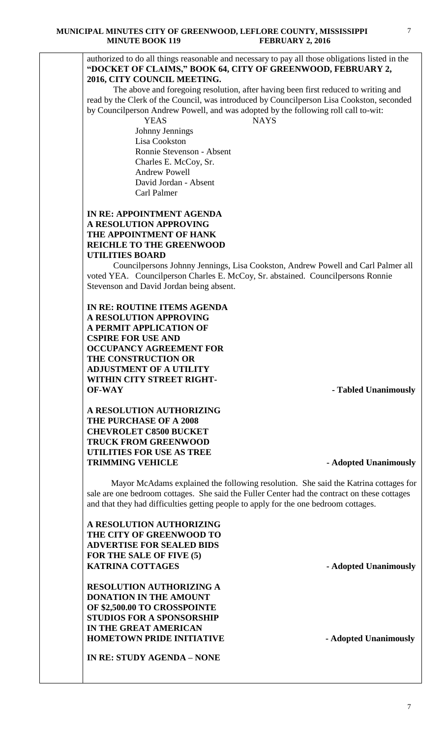7

### authorized to do all things reasonable and necessary to pay all those obligations listed in the **"DOCKET OF CLAIMS," BOOK 64, CITY OF GREENWOOD, FEBRUARY 2, 2016, CITY COUNCIL MEETING.**

The above and foregoing resolution, after having been first reduced to writing and read by the Clerk of the Council, was introduced by Councilperson Lisa Cookston, seconded by Councilperson Andrew Powell, and was adopted by the following roll call to-wit:

YEAS NAYS

 Johnny Jennings Lisa Cookston Ronnie Stevenson - Absent Charles E. McCoy, Sr. Andrew Powell David Jordan - Absent Carl Palmer

## **IN RE: APPOINTMENT AGENDA A RESOLUTION APPROVING THE APPOINTMENT OF HANK REICHLE TO THE GREENWOOD UTILITIES BOARD**

Councilpersons Johnny Jennings, Lisa Cookston, Andrew Powell and Carl Palmer all voted YEA. Councilperson Charles E. McCoy, Sr. abstained. Councilpersons Ronnie Stevenson and David Jordan being absent.

**IN RE: ROUTINE ITEMS AGENDA A RESOLUTION APPROVING A PERMIT APPLICATION OF CSPIRE FOR USE AND OCCUPANCY AGREEMENT FOR THE CONSTRUCTION OR ADJUSTMENT OF A UTILITY WITHIN CITY STREET RIGHT-OF-WAY - Tabled Unanimously**

## **A RESOLUTION AUTHORIZING THE PURCHASE OF A 2008 CHEVROLET C8500 BUCKET TRUCK FROM GREENWOOD UTILITIES FOR USE AS TREE TRIMMING VEHICLE -Adopted Unanimously**

 Mayor McAdams explained the following resolution. She said the Katrina cottages for sale are one bedroom cottages. She said the Fuller Center had the contract on these cottages and that they had difficulties getting people to apply for the one bedroom cottages.

**A RESOLUTION AUTHORIZING THE CITY OF GREENWOOD TO ADVERTISE FOR SEALED BIDS FOR THE SALE OF FIVE (5) KATRINA COTTAGES** - **Adopted Unanimously** 

**RESOLUTION AUTHORIZING A DONATION IN THE AMOUNT OF \$2,500.00 TO CROSSPOINTE STUDIOS FOR A SPONSORSHIP IN THE GREAT AMERICAN HOMETOWN PRIDE INITIATIVE - Adopted Unanimously**

**IN RE: STUDY AGENDA – NONE**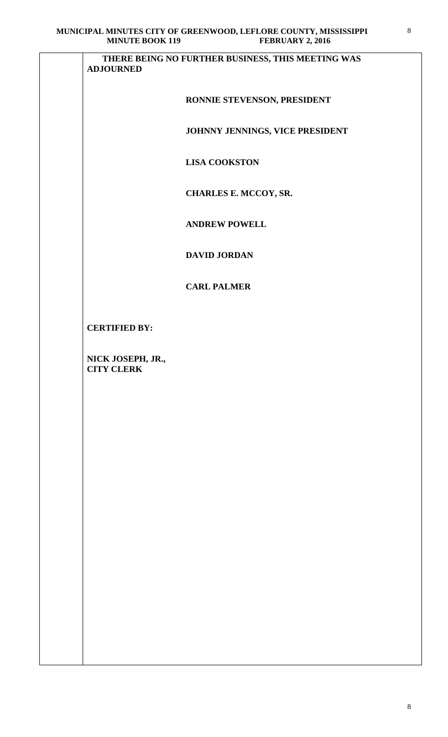| <b>ADJOURNED</b>                       | THERE BEING NO FURTHER BUSINESS, THIS MEETING WAS |
|----------------------------------------|---------------------------------------------------|
|                                        |                                                   |
|                                        | RONNIE STEVENSON, PRESIDENT                       |
|                                        | JOHNNY JENNINGS, VICE PRESIDENT                   |
|                                        | <b>LISA COOKSTON</b>                              |
|                                        | CHARLES E. MCCOY, SR.                             |
|                                        | <b>ANDREW POWELL</b>                              |
|                                        | <b>DAVID JORDAN</b>                               |
|                                        | <b>CARL PALMER</b>                                |
| <b>CERTIFIED BY:</b>                   |                                                   |
| NICK JOSEPH, JR.,<br><b>CITY CLERK</b> |                                                   |
|                                        |                                                   |
|                                        |                                                   |
|                                        |                                                   |
|                                        |                                                   |
|                                        |                                                   |
|                                        |                                                   |
|                                        |                                                   |
|                                        |                                                   |
|                                        |                                                   |